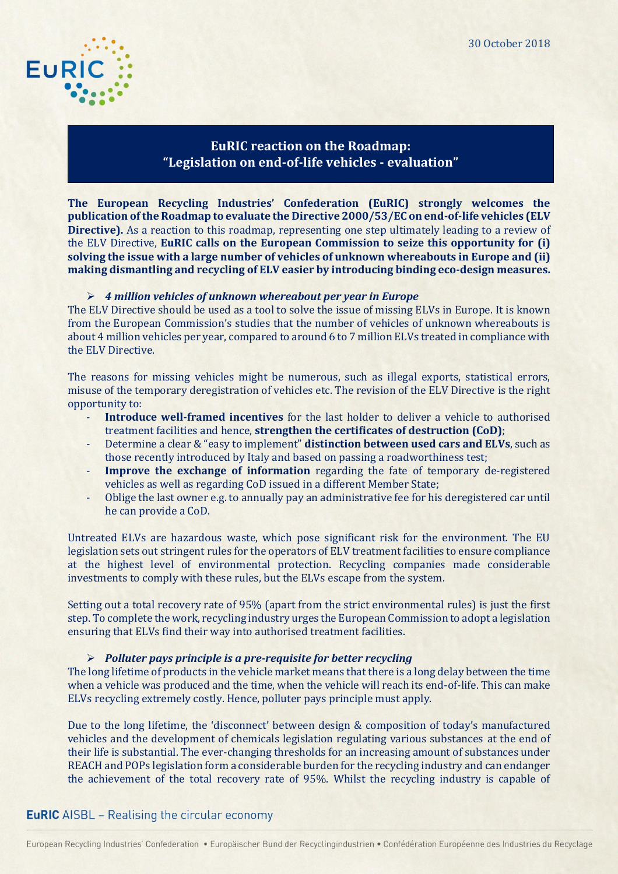

# **EuRIC reaction on the Roadmap: "Legislation on end-of-life vehicles - evaluation"**

**The European Recycling Industries' Confederation (EuRIC) strongly welcomes the publication ofthe Roadmap to evaluate the Directive 2000/53/EC on end-of-life vehicles (ELV Directive).** As a reaction to this roadmap, representing one step ultimately leading to a review of the ELV Directive, **EuRIC calls on the European Commission to seize this opportunity for (i) solving the issue with a large number of vehicles of unknown whereabouts in Europe and (ii) making dismantling and recycling of ELV easier by introducing binding eco-design measures.** 

### ➢ *4 million vehicles of unknown whereabout per year in Europe*

The ELV Directive should be used as a tool to solve the issue of missing ELVs in Europe. It is known from the European Commission's studies that the number of vehicles of unknown whereabouts is about 4 million vehicles per year, compared to around 6 to 7 million ELVs treated in compliance with the ELV Directive.

The reasons for missing vehicles might be numerous, such as illegal exports, statistical errors, misuse of the temporary deregistration of vehicles etc. The revision of the ELV Directive is the right opportunity to:

- **Introduce well-framed incentives** for the last holder to deliver a vehicle to authorised treatment facilities and hence, **strengthen the certificates of destruction (CoD)**;
- Determine a clear & "easy to implement" **distinction between used cars and ELVs**, such as those recently introduced by Italy and based on passing a roadworthiness test;
- **Improve the exchange of information** regarding the fate of temporary de-registered vehicles as well as regarding CoD issued in a different Member State;
- Oblige the last owner e.g. to annually pay an administrative fee for his deregistered car until he can provide a CoD.

Untreated ELVs are hazardous waste, which pose significant risk for the environment. The EU legislation sets out stringent rules for the operators of ELV treatment facilities to ensure compliance at the highest level of environmental protection. Recycling companies made considerable investments to comply with these rules, but the ELVs escape from the system.

Setting out a total recovery rate of 95% (apart from the strict environmental rules) is just the first step. To complete the work, recycling industry urges the European Commission to adopt a legislation ensuring that ELVs find their way into authorised treatment facilities.

#### ➢ *Polluter pays principle is a pre-requisite for better recycling*

The long lifetime of products in the vehicle market means that there is a long delay between the time when a vehicle was produced and the time, when the vehicle will reach its end-of-life. This can make ELVs recycling extremely costly. Hence, polluter pays principle must apply.

Due to the long lifetime, the 'disconnect' between design & composition of today's manufactured vehicles and the development of chemicals legislation regulating various substances at the end of their life is substantial. The ever-changing thresholds for an increasing amount of substances under REACH and POPs legislation form a considerable burden for the recycling industry and can endanger the achievement of the total recovery rate of 95%. Whilst the recycling industry is capable of

### **EuRIC** AISBL - Realising the circular economy